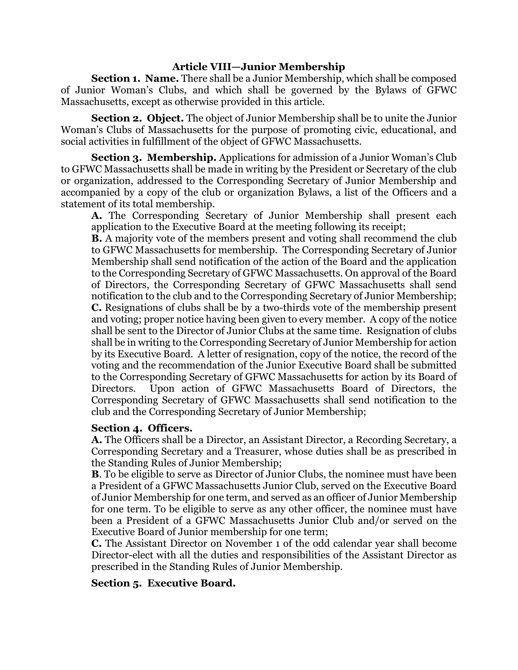### **Article VIII—Junior Membership**

**Section 1. Name.** There shall be a Junior Membership, which shall be composed of Junior Woman's Clubs, and which shall be governed by the Bylaws of GFWC Massachusetts, except as otherwise provided in this article.

**Section 2. Object.** The object of Junior Membership shall be to unite the Junior Woman's Clubs of Massachusetts for the purpose of promoting civic, educational, and social activities in fulfillment of the object of GFWC Massachusetts.

**Section 3. Membership.** Applications for admission of a Junior Woman's Club to GFWC Massachusetts shall be made in writing by the President or Secretary of the club or organization, addressed to the Corresponding Secretary of Junior Membership and accompanied by a copy of the club or organization Bylaws, a list of the Officers and a statement of its total membership.

**A.** The Corresponding Secretary of Junior Membership shall present each application to the Executive Board at the meeting following its receipt;

**B.** A majority vote of the members present and voting shall recommend the club to GFWC Massachusetts for membership. The Corresponding Secretary of Junior Membership shall send notification of the action of the Board and the application to the Corresponding Secretary of GFWC Massachusetts. On approval of the Board of Directors, the Corresponding Secretary of GFWC Massachusetts shall send notification to the club and to the Corresponding Secretary of Junior Membership; **C.** Resignations of clubs shall be by a two-thirds vote of the membership present and voting; proper notice having been given to every member. A copy of the notice shall be sent to the Director of Junior Clubs at the same time. Resignation of clubs shall be in writing to the Corresponding Secretary of Junior Membership for action by its Executive Board. A letter of resignation, copy of the notice, the record of the voting and the recommendation of the Junior Executive Board shall be submitted to the Corresponding Secretary of GFWC Massachusetts for action by its Board of Directors. Upon action of GFWC Massachusetts Board of Directors, the Corresponding Secretary of GFWC Massachusetts shall send notification to the club and the Corresponding Secretary of Junior Membership;

### **Section 4. Officers.**

**A.** The Officers shall be a Director, an Assistant Director, a Recording Secretary, a Corresponding Secretary and a Treasurer, whose duties shall be as prescribed in the Standing Rules of Junior Membership;

**B**. To be eligible to serve as Director of Junior Clubs, the nominee must have been a President of a GFWC Massachusetts Junior Club, served on the Executive Board of Junior Membership for one term, and served as an officer of Junior Membership for one term. To be eligible to serve as any other officer, the nominee must have been a President of a GFWC Massachusetts Junior Club and/or served on the Executive Board of Junior membership for one term;

**C.** The Assistant Director on November 1 of the odd calendar year shall become Director-elect with all the duties and responsibilities of the Assistant Director as prescribed in the Standing Rules of Junior Membership.

# **Section 5. Executive Board.**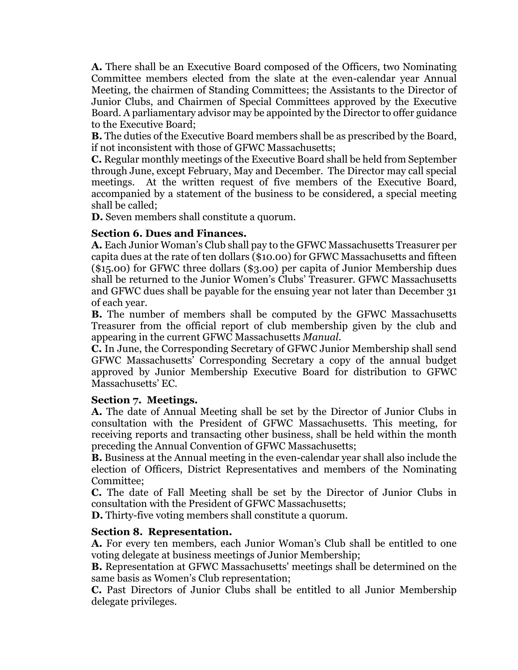**A.** There shall be an Executive Board composed of the Officers, two Nominating Committee members elected from the slate at the even-calendar year Annual Meeting, the chairmen of Standing Committees; the Assistants to the Director of Junior Clubs, and Chairmen of Special Committees approved by the Executive Board. A parliamentary advisor may be appointed by the Director to offer guidance to the Executive Board;

**B.** The duties of the Executive Board members shall be as prescribed by the Board, if not inconsistent with those of GFWC Massachusetts;

**C.** Regular monthly meetings of the Executive Board shall be held from September through June, except February, May and December. The Director may call special meetings. At the written request of five members of the Executive Board, accompanied by a statement of the business to be considered, a special meeting shall be called;

**D.** Seven members shall constitute a quorum.

# **Section 6. Dues and Finances.**

**A.** Each Junior Woman's Club shall pay to the GFWC Massachusetts Treasurer per capita dues at the rate of ten dollars (\$10.00) for GFWC Massachusetts and fifteen (\$15.00) for GFWC three dollars (\$3.00) per capita of Junior Membership dues shall be returned to the Junior Women's Clubs' Treasurer. GFWC Massachusetts and GFWC dues shall be payable for the ensuing year not later than December 31 of each year.

**B.** The number of members shall be computed by the GFWC Massachusetts Treasurer from the official report of club membership given by the club and appearing in the current GFWC Massachusetts *Manual*.

**C.** In June, the Corresponding Secretary of GFWC Junior Membership shall send GFWC Massachusetts' Corresponding Secretary a copy of the annual budget approved by Junior Membership Executive Board for distribution to GFWC Massachusetts' EC.

# **Section 7. Meetings.**

**A.** The date of Annual Meeting shall be set by the Director of Junior Clubs in consultation with the President of GFWC Massachusetts. This meeting, for receiving reports and transacting other business, shall be held within the month preceding the Annual Convention of GFWC Massachusetts;

**B.** Business at the Annual meeting in the even-calendar year shall also include the election of Officers, District Representatives and members of the Nominating Committee;

**C.** The date of Fall Meeting shall be set by the Director of Junior Clubs in consultation with the President of GFWC Massachusetts;

**D.** Thirty-five voting members shall constitute a quorum.

# **Section 8. Representation.**

**A.** For every ten members, each Junior Woman's Club shall be entitled to one voting delegate at business meetings of Junior Membership;

**B.** Representation at GFWC Massachusetts' meetings shall be determined on the same basis as Women's Club representation;

**C.** Past Directors of Junior Clubs shall be entitled to all Junior Membership delegate privileges.